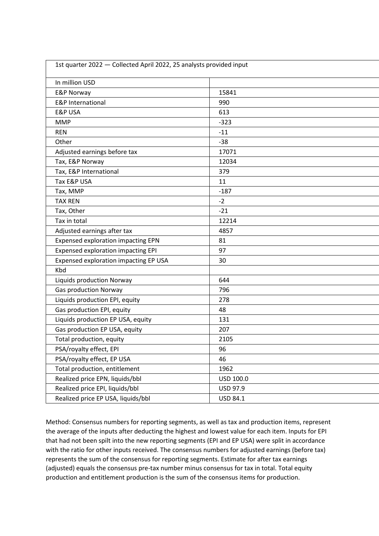| 1st quarter 2022 - Collected April 2022, 25 analysts provided input |           |  |  |  |
|---------------------------------------------------------------------|-----------|--|--|--|
| In million USD                                                      |           |  |  |  |
| <b>E&amp;P Norway</b>                                               | 15841     |  |  |  |
| <b>E&amp;P</b> International                                        | 990       |  |  |  |
| <b>E&amp;P USA</b>                                                  | 613       |  |  |  |
| <b>MMP</b>                                                          | $-323$    |  |  |  |
| <b>REN</b>                                                          | $-11$     |  |  |  |
| Other                                                               | $-38$     |  |  |  |
| Adjusted earnings before tax                                        | 17071     |  |  |  |
| Tax, E&P Norway                                                     | 12034     |  |  |  |
| Tax, E&P International                                              | 379       |  |  |  |
| Tax E&P USA                                                         | 11        |  |  |  |
| Tax, MMP                                                            | $-187$    |  |  |  |
| <b>TAX REN</b>                                                      | $-2$      |  |  |  |
| Tax, Other                                                          | $-21$     |  |  |  |
| Tax in total                                                        | 12214     |  |  |  |
| Adjusted earnings after tax                                         | 4857      |  |  |  |
| <b>Expensed exploration impacting EPN</b>                           | 81        |  |  |  |
| <b>Expensed exploration impacting EPI</b>                           | 97        |  |  |  |
| Expensed exploration impacting EP USA                               | 30        |  |  |  |
| Kbd                                                                 |           |  |  |  |
| <b>Liquids production Norway</b>                                    | 644       |  |  |  |
| <b>Gas production Norway</b>                                        | 796       |  |  |  |
| Liquids production EPI, equity                                      | 278       |  |  |  |
| Gas production EPI, equity                                          | 48        |  |  |  |
| Liquids production EP USA, equity                                   | 131       |  |  |  |
| Gas production EP USA, equity                                       | 207       |  |  |  |
| Total production, equity                                            | 2105      |  |  |  |
| PSA/royalty effect, EPI                                             | 96        |  |  |  |
| PSA/royalty effect, EP USA                                          | 46        |  |  |  |
| Total production, entitlement                                       | 1962      |  |  |  |
| Realized price EPN, liquids/bbl                                     | USD 100.0 |  |  |  |
| Realized price EPI, liquids/bbl                                     | USD 97.9  |  |  |  |
| Realized price EP USA, liquids/bbl                                  | USD 84.1  |  |  |  |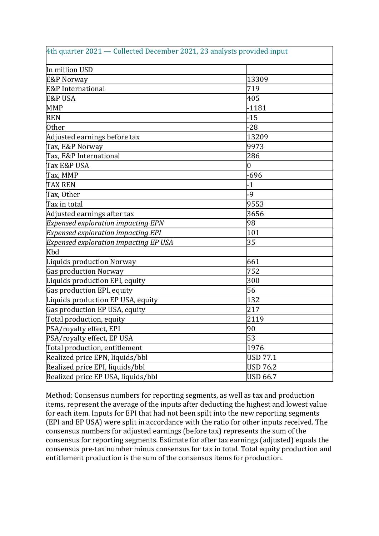| 4th quarter 2021 — Collected December 2021, 23 analysts provided input |                 |  |  |  |
|------------------------------------------------------------------------|-----------------|--|--|--|
| In million USD                                                         |                 |  |  |  |
| <b>E&amp;P Norway</b>                                                  | 13309           |  |  |  |
| E&P International                                                      | 719             |  |  |  |
| E&P USA                                                                | 405             |  |  |  |
| <b>MMP</b>                                                             | $-1181$         |  |  |  |
| <b>REN</b>                                                             | $-15$           |  |  |  |
| <b>Other</b>                                                           | $-28$           |  |  |  |
| Adjusted earnings before tax                                           | 13209           |  |  |  |
| Tax, E&P Norway                                                        | 9973            |  |  |  |
| Tax, E&P International                                                 | 286             |  |  |  |
| Tax E&P USA                                                            | 0               |  |  |  |
| Tax, MMP                                                               | -696            |  |  |  |
| <b>TAX REN</b>                                                         | $-1$            |  |  |  |
| Tax, Other                                                             | -9              |  |  |  |
| Tax in total                                                           | 9553            |  |  |  |
| Adjusted earnings after tax                                            | 3656            |  |  |  |
| <b>Expensed exploration impacting EPN</b>                              | 98              |  |  |  |
| <b>Expensed exploration impacting EPI</b>                              | 101             |  |  |  |
| <b>Expensed exploration impacting EP USA</b>                           | 35              |  |  |  |
| Kbd                                                                    |                 |  |  |  |
| Liquids production Norway                                              | 661             |  |  |  |
| Gas production Norway                                                  | 752             |  |  |  |
| Liquids production EPI, equity                                         | 300             |  |  |  |
| Gas production EPI, equity                                             | 56              |  |  |  |
| Liquids production EP USA, equity                                      | 132             |  |  |  |
| Gas production EP USA, equity                                          | 217             |  |  |  |
| Total production, equity                                               | 2119            |  |  |  |
| PSA/royalty effect, EPI                                                | 90              |  |  |  |
| PSA/royalty effect, EP USA                                             | 53              |  |  |  |
| Total production, entitlement                                          | 1976            |  |  |  |
| Realized price EPN, liquids/bbl                                        | <b>USD 77.1</b> |  |  |  |
| Realized price EPI, liquids/bbl                                        | USD 76.2        |  |  |  |
| Realized price EP USA, liquids/bbl                                     | <b>USD 66.7</b> |  |  |  |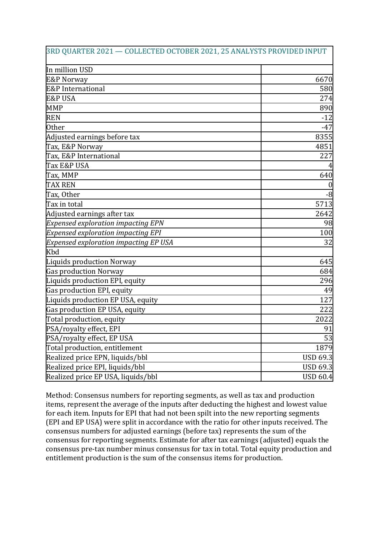| 3RD QUARTER 2021 — COLLECTED OCTOBER 2021, 25 ANALYSTS PROVIDED INPUT |                 |
|-----------------------------------------------------------------------|-----------------|
| In million USD                                                        |                 |
| <b>E&amp;P Norway</b>                                                 | 6670            |
| E&P International                                                     | 580             |
| <b>E&amp;P USA</b>                                                    | 274             |
| <b>MMP</b>                                                            | 890             |
| <b>REN</b>                                                            | $-12$           |
| <b>Other</b>                                                          | $-47$           |
| Adjusted earnings before tax                                          | 8355            |
| Tax, E&P Norway                                                       | 4851            |
| Tax, E&P International                                                | 227             |
| Tax E&P USA                                                           |                 |
| Tax, MMP                                                              | 640             |
| <b>TAX REN</b>                                                        |                 |
| Tax, Other                                                            | -8              |
| Tax in total                                                          | 5713            |
| Adjusted earnings after tax                                           | 2642            |
| <b>Expensed exploration impacting EPN</b>                             | 98              |
| <b>Expensed exploration impacting EPI</b>                             | 100             |
| <b>Expensed exploration impacting EP USA</b>                          | 32              |
| Kbd                                                                   |                 |
| Liquids production Norway                                             | 645             |
| <b>Gas production Norway</b>                                          | 684             |
| Liquids production EPI, equity                                        | 296             |
| Gas production EPI, equity                                            | 49              |
| Liquids production EP USA, equity                                     | 127             |
| Gas production EP USA, equity                                         | 222             |
| Total production, equity                                              | 2022            |
| PSA/royalty effect, EPI                                               | 91              |
| PSA/royalty effect, EP USA                                            | 53              |
| Total production, entitlement                                         | 1879            |
| Realized price EPN, liquids/bbl                                       | <b>USD 69.3</b> |
| Realized price EPI, liquids/bbl                                       | <b>USD 69.3</b> |
| Realized price EP USA, liquids/bbl                                    | <b>USD 60.4</b> |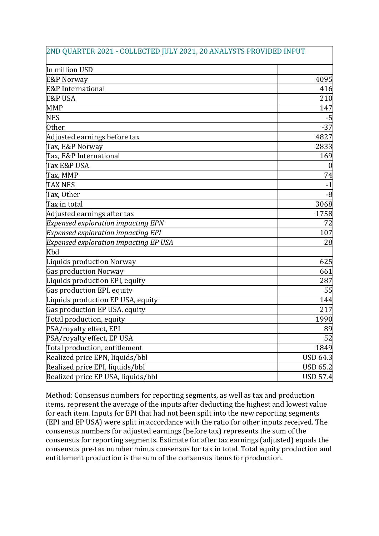| 2ND QUARTER 2021 - COLLECTED JULY 2021, 20 ANALYSTS PROVIDED INPUT |                 |
|--------------------------------------------------------------------|-----------------|
| In million USD                                                     |                 |
| <b>E&amp;P Norway</b>                                              | 4095            |
| E&P International                                                  | 416             |
| <b>E&amp;P USA</b>                                                 | 210             |
| <b>MMP</b>                                                         | 147             |
| <b>NES</b>                                                         | -5              |
| <b>Other</b>                                                       | $-37$           |
| Adjusted earnings before tax                                       | 4827            |
| Tax, E&P Norway                                                    | 2833            |
| Tax, E&P International                                             | 169             |
| Tax E&P USA                                                        | $\bf{0}$        |
| Tax, MMP                                                           | 74              |
| <b>TAX NES</b>                                                     | $-1$            |
| Tax, Other                                                         | $-8$            |
| Tax in total                                                       | 3068            |
| Adjusted earnings after tax                                        | 1758            |
| <b>Expensed exploration impacting EPN</b>                          | 72              |
| <b>Expensed exploration impacting EPI</b>                          | 107             |
| <b>Expensed exploration impacting EP USA</b>                       | 28              |
| Kbd                                                                |                 |
| Liquids production Norway                                          | 625             |
| Gas production Norway                                              | 661             |
| Liquids production EPI, equity                                     | 287             |
| Gas production EPI, equity                                         | 55              |
| Liquids production EP USA, equity                                  | 144             |
| Gas production EP USA, equity                                      | 217             |
| Total production, equity                                           | 1990            |
| PSA/royalty effect, EPI                                            | 89              |
| PSA/royalty effect, EP USA                                         | 52              |
| Total production, entitlement                                      | 1849            |
| Realized price EPN, liquids/bbl                                    | <b>USD 64.3</b> |
| Realized price EPI, liquids/bbl                                    | <b>USD 65.2</b> |
| Realized price EP USA, liquids/bbl                                 | <b>USD 57.4</b> |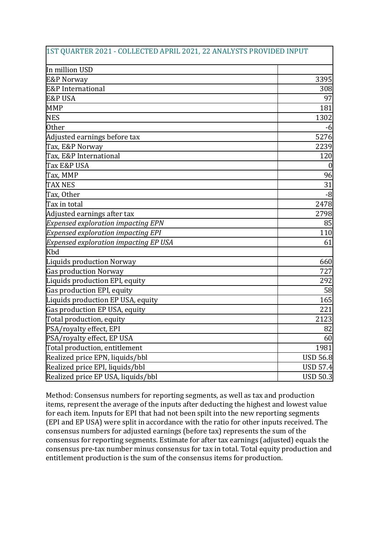| 1ST QUARTER 2021 - COLLECTED APRIL 2021, 22 ANALYSTS PROVIDED INPUT |                 |
|---------------------------------------------------------------------|-----------------|
| In million USD                                                      |                 |
| <b>E&amp;P Norway</b>                                               | 3395            |
| E&P International                                                   | 308             |
| <b>E&amp;P USA</b>                                                  | 97              |
| <b>MMP</b>                                                          | 181             |
| <b>NES</b>                                                          | 1302            |
| <b>Other</b>                                                        | -6              |
| Adjusted earnings before tax                                        | 5276            |
| Tax, E&P Norway                                                     | 2239            |
| Tax, E&P International                                              | 120             |
| Tax E&P USA                                                         | $\overline{0}$  |
| Tax, MMP                                                            | 96              |
| <b>TAX NES</b>                                                      | 31              |
| Tax, Other                                                          | -8              |
| Tax in total                                                        | 2478            |
| Adjusted earnings after tax                                         | 2798            |
| <b>Expensed exploration impacting EPN</b>                           | 85              |
| <b>Expensed exploration impacting EPI</b>                           | 110             |
| <b>Expensed exploration impacting EP USA</b>                        | 61              |
| Kbd                                                                 |                 |
| Liquids production Norway                                           | 660             |
| Gas production Norway                                               | 727             |
| Liquids production EPI, equity                                      | 292             |
| Gas production EPI, equity                                          | 58              |
| Liquids production EP USA, equity                                   | 165             |
| Gas production EP USA, equity                                       | 221             |
| Total production, equity                                            | 2123            |
| PSA/royalty effect, EPI                                             | 82              |
| PSA/royalty effect, EP USA                                          | 60              |
| Total production, entitlement                                       | 1981            |
| Realized price EPN, liquids/bbl                                     | <b>USD 56.8</b> |
| Realized price EPI, liquids/bbl                                     | <b>USD 57.4</b> |
| Realized price EP USA, liquids/bbl                                  | <b>USD 50.3</b> |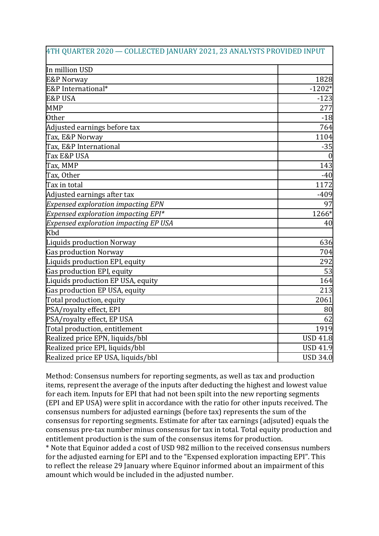| 4TH QUARTER 2020 - COLLECTED JANUARY 2021, 23 ANALYSTS PROVIDED INPUT |                 |
|-----------------------------------------------------------------------|-----------------|
| In million USD                                                        |                 |
| <b>E&amp;P Norway</b>                                                 | 1828            |
| E&P International*                                                    | $-1202*$        |
| <b>E&amp;P USA</b>                                                    | $-123$          |
| <b>MMP</b>                                                            | 277             |
| <b>Other</b>                                                          | $-18$           |
| Adjusted earnings before tax                                          | 764             |
| Tax, E&P Norway                                                       | 1104            |
| Tax, E&P International                                                | $-35$           |
| Tax E&P USA                                                           | $\overline{0}$  |
| Tax, MMP                                                              | 143             |
| Tax, Other                                                            | $-40$           |
| Tax in total                                                          | 1172            |
| Adjusted earnings after tax                                           | $-409$          |
| <b>Expensed exploration impacting EPN</b>                             | 97              |
| Expensed exploration impacting $EPI*$                                 | 1266*           |
| <b>Expensed exploration impacting EP USA</b>                          | 40              |
| Kbd                                                                   |                 |
| Liquids production Norway                                             | 636             |
| Gas production Norway                                                 | 704             |
| Liquids production EPI, equity                                        | 292             |
| Gas production EPI, equity                                            | 53              |
| Liquids production EP USA, equity                                     | 164             |
| Gas production EP USA, equity                                         | 213             |
| Total production, equity                                              | 2061            |
| PSA/royalty effect, EPI                                               | 80              |
| PSA/royalty effect, EP USA                                            | 62              |
| Total production, entitlement                                         | 1919            |
| Realized price EPN, liquids/bbl                                       | <b>USD 41.8</b> |
| Realized price EPI, liquids/bbl                                       | <b>USD 41.9</b> |
| Realized price EP USA, liquids/bbl                                    | <b>USD 34.0</b> |

\* Note that Equinor added a cost of USD 982 million to the received consensus numbers for the adjusted earning for EPI and to the "Expensed exploration impacting EPI". This to reflect the release 29 January where Equinor informed about an impairment of this amount which would be included in the adjusted number.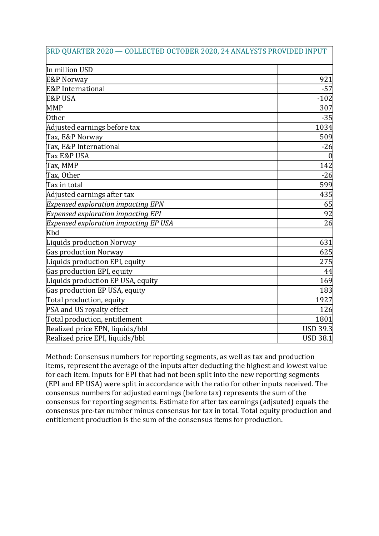| 3RD QUARTER 2020 - COLLECTED OCTOBER 2020, 24 ANALYSTS PROVIDED INPUT |                 |
|-----------------------------------------------------------------------|-----------------|
| In million USD                                                        |                 |
| <b>E&amp;P Norway</b>                                                 | 921             |
| E&P International                                                     | $-57$           |
| <b>E&amp;P USA</b>                                                    | $-102$          |
| <b>MMP</b>                                                            | 307             |
| <b>Other</b>                                                          | $-35$           |
| Adjusted earnings before tax                                          | 1034            |
| Tax, E&P Norway                                                       | 509             |
| Tax, E&P International                                                | $-26$           |
| Tax E&P USA                                                           | $\theta$        |
| Tax, MMP                                                              | 142             |
| Tax, Other                                                            | $-26$           |
| Tax in total                                                          | 599             |
| Adjusted earnings after tax                                           | 435             |
| <b>Expensed exploration impacting EPN</b>                             | 65              |
| <b>Expensed exploration impacting EPI</b>                             | 92              |
| Expensed exploration impacting EP USA                                 | 26              |
| Kbd                                                                   |                 |
| Liquids production Norway                                             | 631             |
| Gas production Norway                                                 | 625             |
| Liquids production EPI, equity                                        | 275             |
| Gas production EPI, equity                                            | 44              |
| Liquids production EP USA, equity                                     | 169             |
| Gas production EP USA, equity                                         | 183             |
| Total production, equity                                              | 1927            |
| PSA and US royalty effect                                             | 126             |
| Total production, entitlement                                         | 1801            |
| Realized price EPN, liquids/bbl                                       | <b>USD 39.3</b> |
| Realized price EPI, liquids/bbl                                       | <b>USD 38.1</b> |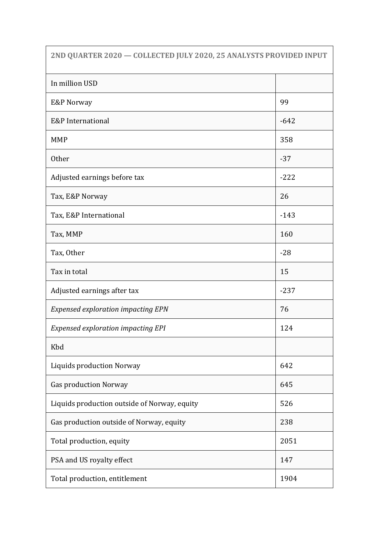| 2ND QUARTER 2020 - COLLECTED JULY 2020, 25 ANALYSTS PROVIDED INPUT |        |
|--------------------------------------------------------------------|--------|
| In million USD                                                     |        |
| E&P Norway                                                         | 99     |
| <b>E&amp;P</b> International                                       | $-642$ |
| <b>MMP</b>                                                         | 358    |
| <b>Other</b>                                                       | $-37$  |
| Adjusted earnings before tax                                       | $-222$ |
| Tax, E&P Norway                                                    | 26     |
| Tax, E&P International                                             | $-143$ |
| Tax, MMP                                                           | 160    |
| Tax, Other                                                         | $-28$  |
| Tax in total                                                       | 15     |
| Adjusted earnings after tax                                        | $-237$ |
| <b>Expensed exploration impacting EPN</b>                          | 76     |
| <b>Expensed exploration impacting EPI</b>                          | 124    |
| Kbd                                                                |        |
| Liquids production Norway                                          | 642    |
| <b>Gas production Norway</b>                                       | 645    |
| Liquids production outside of Norway, equity                       | 526    |
| Gas production outside of Norway, equity                           | 238    |
| Total production, equity                                           | 2051   |
| PSA and US royalty effect                                          | 147    |
| Total production, entitlement                                      | 1904   |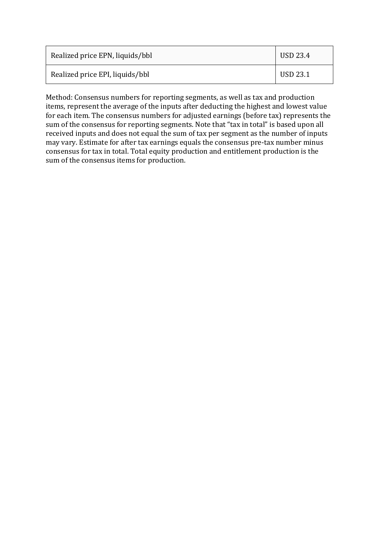| Realized price EPN, liquids/bbl | USD 23.4 |
|---------------------------------|----------|
| Realized price EPI, liquids/bbl | USD 23.1 |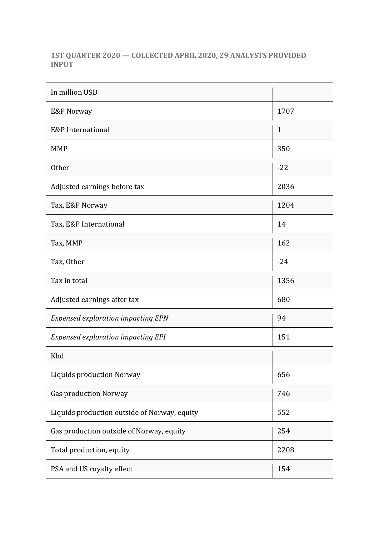**1ST QUARTER 2020 — COLLECTED APRIL 2020, 29 ANALYSTS PROVIDED INPUT**

| In million USD                               |              |
|----------------------------------------------|--------------|
| E&P Norway                                   | 1707         |
| E&P International                            | $\mathbf{1}$ |
| <b>MMP</b>                                   | 350          |
| <b>Other</b>                                 | $-22$        |
| Adjusted earnings before tax                 | 2036         |
| Tax, E&P Norway                              | 1204         |
| Tax, E&P International                       | 14           |
| Tax, MMP                                     | 162          |
| Tax, Other                                   | $-24$        |
| Tax in total                                 | 1356         |
| Adjusted earnings after tax                  | 680          |
| <b>Expensed exploration impacting EPN</b>    | 94           |
| <b>Expensed exploration impacting EPI</b>    | 151          |
| Kbd                                          |              |
| Liquids production Norway                    | 656          |
| <b>Gas production Norway</b>                 | 746          |
| Liquids production outside of Norway, equity | 552          |
| Gas production outside of Norway, equity     | 254          |
| Total production, equity                     | 2208         |
| PSA and US royalty effect                    | 154          |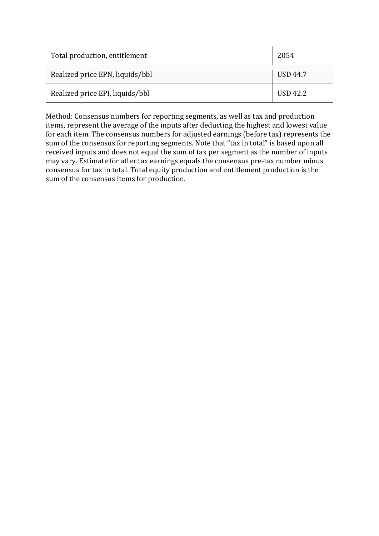| Total production, entitlement   | 2054            |
|---------------------------------|-----------------|
| Realized price EPN, liquids/bbl | <b>USD 44.7</b> |
| Realized price EPI, liquids/bbl | <b>USD 42.2</b> |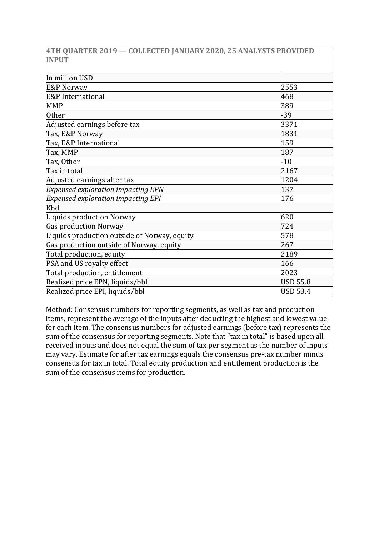|              |  |  |  | 4TH QUARTER 2019 — COLLECTED JANUARY 2020, 25 ANALYSTS PROVIDED |
|--------------|--|--|--|-----------------------------------------------------------------|
| <b>INPUT</b> |  |  |  |                                                                 |

| In million USD                               |                 |
|----------------------------------------------|-----------------|
| <b>E&amp;P Norway</b>                        | 2553            |
| E&P International                            | 468             |
| <b>MMP</b>                                   | 389             |
| <b>Other</b>                                 | $-39$           |
| Adjusted earnings before tax                 | 3371            |
| Tax, E&P Norway                              | 1831            |
| Tax, E&P International                       | 159             |
| Tax, MMP                                     | 187             |
| Tax, Other                                   | $-10$           |
| Tax in total                                 | 2167            |
| Adjusted earnings after tax                  | 1204            |
| <b>Expensed exploration impacting EPN</b>    | 137             |
| <b>Expensed exploration impacting EPI</b>    | 176             |
| Kbd                                          |                 |
| Liquids production Norway                    | 620             |
| Gas production Norway                        | 724             |
| Liquids production outside of Norway, equity | 578             |
| Gas production outside of Norway, equity     | 267             |
| Total production, equity                     | 2189            |
| PSA and US royalty effect                    | 166             |
| Total production, entitlement                | 2023            |
| Realized price EPN, liquids/bbl              | <b>USD 55.8</b> |
| Realized price EPI, liquids/bbl              | <b>USD 53.4</b> |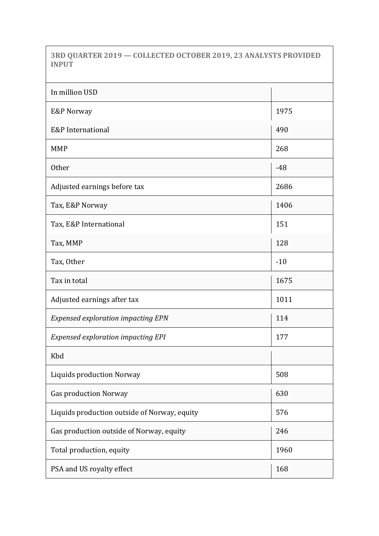**3RD QUARTER 2019 — COLLECTED OCTOBER 2019, 23 ANALYSTS PROVIDED INPUT**

| In million USD                               |       |
|----------------------------------------------|-------|
| E&P Norway                                   | 1975  |
| E&P International                            | 490   |
| <b>MMP</b>                                   | 268   |
| <b>Other</b>                                 | $-48$ |
| Adjusted earnings before tax                 | 2686  |
| Tax, E&P Norway                              | 1406  |
| Tax, E&P International                       | 151   |
| Tax, MMP                                     | 128   |
| Tax, Other                                   | $-10$ |
| Tax in total                                 | 1675  |
| Adjusted earnings after tax                  | 1011  |
| <b>Expensed exploration impacting EPN</b>    | 114   |
| <b>Expensed exploration impacting EPI</b>    | 177   |
| Kbd                                          |       |
| <b>Liquids production Norway</b>             | 508   |
| <b>Gas production Norway</b>                 | 630   |
| Liquids production outside of Norway, equity | 576   |
| Gas production outside of Norway, equity     | 246   |
| Total production, equity                     | 1960  |
| PSA and US royalty effect                    | 168   |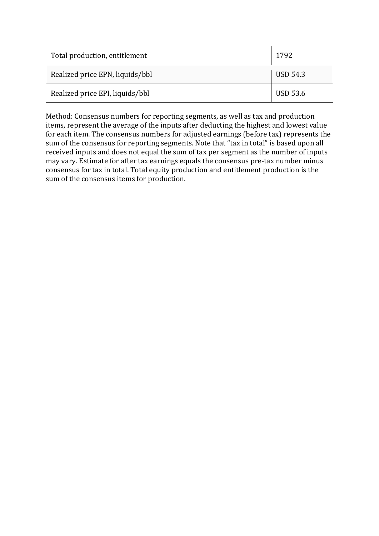| Total production, entitlement   | 1792            |
|---------------------------------|-----------------|
| Realized price EPN, liquids/bbl | USD 54.3        |
| Realized price EPI, liquids/bbl | <b>USD 53.6</b> |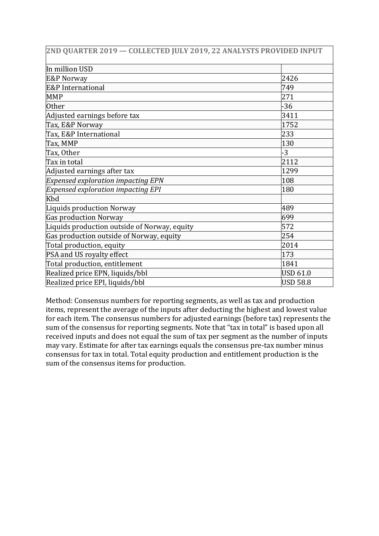| 2ND QUARTER 2019 - COLLECTED JULY 2019, 22 ANALYSTS PROVIDED INPUT |                 |
|--------------------------------------------------------------------|-----------------|
| In million USD                                                     |                 |
| <b>E&amp;P Norway</b>                                              | 2426            |
| <b>E&amp;P</b> International                                       | 749             |
| <b>MMP</b>                                                         | 271             |
| <b>Other</b>                                                       | $-36$           |
| Adjusted earnings before tax                                       | 3411            |
| Tax, E&P Norway                                                    | 1752            |
| Tax, E&P International                                             | 233             |
| Tax, MMP                                                           | 130             |
| Tax, Other                                                         | $-3$            |
| Tax in total                                                       | 2112            |
| Adjusted earnings after tax                                        | 1299            |
| <b>Expensed exploration impacting EPN</b>                          | 108             |
| <b>Expensed exploration impacting EPI</b>                          | 180             |
| Kbd                                                                |                 |
| Liquids production Norway                                          | 489             |
| <b>Gas production Norway</b>                                       | 699             |
| Liquids production outside of Norway, equity                       | 572             |
| Gas production outside of Norway, equity                           | 254             |
| Total production, equity                                           | 2014            |
| PSA and US royalty effect                                          | 173             |
| Total production, entitlement                                      | 1841            |
| Realized price EPN, liquids/bbl                                    | <b>USD 61.0</b> |
| Realized price EPI, liquids/bbl                                    | <b>USD 58.8</b> |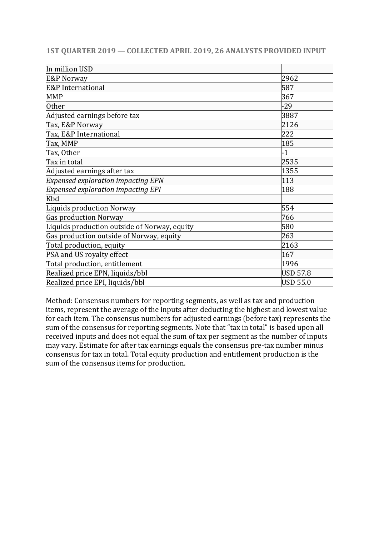| 1ST QUARTER 2019 - COLLECTED APRIL 2019, 26 ANALYSTS PROVIDED INPUT |                 |
|---------------------------------------------------------------------|-----------------|
| In million USD                                                      |                 |
| E&P Norway                                                          | 2962            |
| <b>E&amp;P</b> International                                        | 587             |
| <b>MMP</b>                                                          | 367             |
| <b>Other</b>                                                        | $-29$           |
| Adjusted earnings before tax                                        | 3887            |
| Tax, E&P Norway                                                     | 2126            |
| Tax, E&P International                                              | 222             |
| Tax, MMP                                                            | 185             |
| Tax, Other                                                          | $-1$            |
| Tax in total                                                        | 2535            |
| Adjusted earnings after tax                                         | 1355            |
| <b>Expensed exploration impacting EPN</b>                           | 113             |
| <b>Expensed exploration impacting EPI</b>                           | 188             |
| Kbd                                                                 |                 |
| Liquids production Norway                                           | 554             |
| Gas production Norway                                               | 766             |
| Liquids production outside of Norway, equity                        | 580             |
| Gas production outside of Norway, equity                            | 263             |
| Total production, equity                                            | 2163            |
| PSA and US royalty effect                                           | 167             |
| Total production, entitlement                                       | 1996            |
| Realized price EPN, liquids/bbl                                     | <b>USD 57.8</b> |
| Realized price EPI, liquids/bbl                                     | <b>USD 55.0</b> |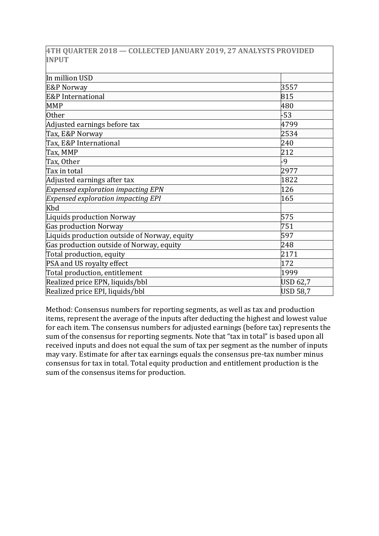|              | 4TH QUARTER 2018 — COLLECTED JANUARY 2019, 27 ANALYSTS PROVIDED |  |  |  |
|--------------|-----------------------------------------------------------------|--|--|--|
| <b>INPUT</b> |                                                                 |  |  |  |

| In million USD                               |                 |
|----------------------------------------------|-----------------|
| <b>E&amp;P Norway</b>                        | 3557            |
| <b>E&amp;P</b> International                 | 815             |
| <b>MMP</b>                                   | 480             |
| <b>Other</b>                                 | $-53$           |
| Adjusted earnings before tax                 | 4799            |
| Tax, E&P Norway                              | 2534            |
| Tax, E&P International                       | 240             |
| Tax, MMP                                     | 212             |
| Tax, Other                                   | -9              |
| Tax in total                                 | 2977            |
| Adjusted earnings after tax                  | 1822            |
| <b>Expensed exploration impacting EPN</b>    | 126             |
| <b>Expensed exploration impacting EPI</b>    | 165             |
| Kbd                                          |                 |
| Liquids production Norway                    | 575             |
| Gas production Norway                        | 751             |
| Liquids production outside of Norway, equity | 597             |
| Gas production outside of Norway, equity     | 248             |
| Total production, equity                     | 2171            |
| PSA and US royalty effect                    | 172             |
| Total production, entitlement                | 1999            |
| Realized price EPN, liquids/bbl              | <b>USD 62,7</b> |
| Realized price EPI, liquids/bbl              | <b>USD 58,7</b> |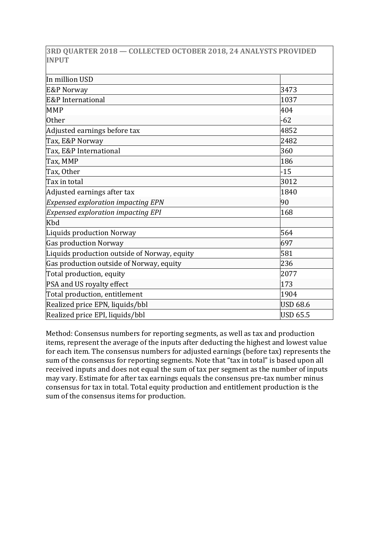| <b>INPUT</b>                                 |                 |
|----------------------------------------------|-----------------|
| In million USD                               |                 |
| <b>E&amp;P Norway</b>                        | 3473            |
| <b>E&amp;P</b> International                 | 1037            |
| <b>MMP</b>                                   | 404             |
| <b>Other</b>                                 | $-62$           |
| Adjusted earnings before tax                 | 4852            |
| Tax, E&P Norway                              | 2482            |
| Tax, E&P International                       | 360             |
| Tax, MMP                                     | 186             |
| Tax, Other                                   | $-15$           |
| Tax in total                                 | 3012            |
| Adjusted earnings after tax                  | 1840            |
| <b>Expensed exploration impacting EPN</b>    | 90              |
| <b>Expensed exploration impacting EPI</b>    | 168             |
| Kbd                                          |                 |
| Liquids production Norway                    | 564             |
| <b>Gas production Norway</b>                 | 697             |
| Liquids production outside of Norway, equity | 581             |
| Gas production outside of Norway, equity     | 236             |
| Total production, equity                     | 2077            |
| PSA and US royalty effect                    | 173             |
| Total production, entitlement                | 1904            |
| Realized price EPN, liquids/bbl              | <b>USD 68.6</b> |
| Realized price EPI, liquids/bbl              | <b>USD 65.5</b> |

**3RD QUARTER 2018 — COLLECTED OCTOBER 2018, 24 ANALYSTS PROVIDED**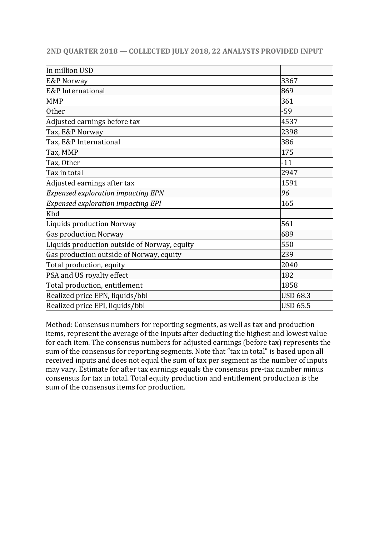| 2ND QUARTER 2018 - COLLECTED JULY 2018, 22 ANALYSTS PROVIDED INPUT |                 |
|--------------------------------------------------------------------|-----------------|
| In million USD                                                     |                 |
| <b>E&amp;P Norway</b>                                              | 3367            |
| E&P International                                                  | 869             |
| <b>MMP</b>                                                         | 361             |
| <b>Other</b>                                                       | $-59$           |
| Adjusted earnings before tax                                       | 4537            |
| Tax, E&P Norway                                                    | 2398            |
| Tax, E&P International                                             | 386             |
| Tax, MMP                                                           | 175             |
| Tax, Other                                                         | $-11$           |
| Tax in total                                                       | 2947            |
| Adjusted earnings after tax                                        | 1591            |
| <b>Expensed exploration impacting EPN</b>                          | 96              |
| <b>Expensed exploration impacting EPI</b>                          | 165             |
| Kbd                                                                |                 |
| <b>Liquids production Norway</b>                                   | 561             |
| <b>Gas production Norway</b>                                       | 689             |
| Liquids production outside of Norway, equity                       | 550             |
| Gas production outside of Norway, equity                           | 239             |
| Total production, equity                                           | 2040            |
| PSA and US royalty effect                                          | 182             |
| Total production, entitlement                                      | 1858            |
| Realized price EPN, liquids/bbl                                    | <b>USD 68.3</b> |
| Realized price EPI, liquids/bbl                                    | <b>USD 65.5</b> |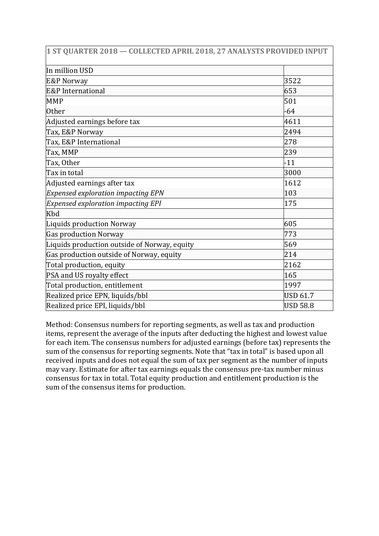| 1 ST QUARTER 2018 - COLLECTED APRIL 2018, 27 ANALYSTS PROVIDED INPUT |                 |
|----------------------------------------------------------------------|-----------------|
| In million USD                                                       |                 |
| <b>E&amp;P Norway</b>                                                | 3522            |
| E&P International                                                    | 653             |
| <b>MMP</b>                                                           | 501             |
| <b>Other</b>                                                         | $-64$           |
| Adjusted earnings before tax                                         | 4611            |
| Tax, E&P Norway                                                      | 2494            |
| Tax, E&P International                                               | 278             |
| Tax, MMP                                                             | 239             |
| Tax, Other                                                           | $-11$           |
| Tax in total                                                         | 3000            |
| Adjusted earnings after tax                                          | 1612            |
| <b>Expensed exploration impacting EPN</b>                            | 103             |
| <b>Expensed exploration impacting EPI</b>                            | 175             |
| Kbd                                                                  |                 |
| Liquids production Norway                                            | 605             |
| <b>Gas production Norway</b>                                         | 773             |
| Liquids production outside of Norway, equity                         | 569             |
| Gas production outside of Norway, equity                             | 214             |
| Total production, equity                                             | 2162            |
| PSA and US royalty effect                                            | 165             |
| Total production, entitlement                                        | 1997            |
| Realized price EPN, liquids/bbl                                      | <b>USD 61.7</b> |
| Realized price EPI, liquids/bbl                                      | <b>USD 58.8</b> |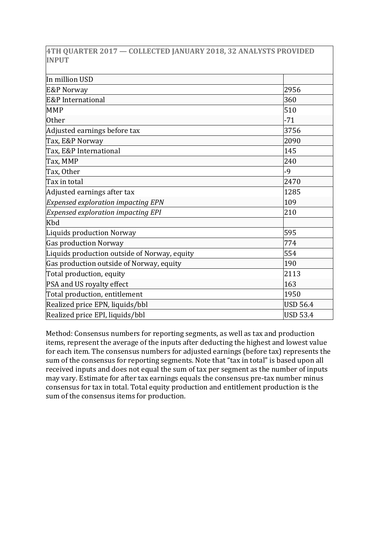|              |  |  |  | 4TH QUARTER 2017 — COLLECTED JANUARY 2018, 32 ANALYSTS PROVIDED |
|--------------|--|--|--|-----------------------------------------------------------------|
| <b>INPUT</b> |  |  |  |                                                                 |

| In million USD                               |                 |
|----------------------------------------------|-----------------|
| <b>E&amp;P Norway</b>                        | 2956            |
| E&P International                            | 360             |
| <b>MMP</b>                                   | 510             |
| <b>Other</b>                                 | $-71$           |
| Adjusted earnings before tax                 | 3756            |
| Tax, E&P Norway                              | 2090            |
| Tax, E&P International                       | 145             |
| Tax, MMP                                     | 240             |
| Tax, Other                                   | -9              |
| Tax in total                                 | 2470            |
| Adjusted earnings after tax                  | 1285            |
| <b>Expensed exploration impacting EPN</b>    | 109             |
| <b>Expensed exploration impacting EPI</b>    | 210             |
| Kbd                                          |                 |
| <b>Liquids production Norway</b>             | 595             |
| <b>Gas production Norway</b>                 | 774             |
| Liquids production outside of Norway, equity | 554             |
| Gas production outside of Norway, equity     | 190             |
| Total production, equity                     | 2113            |
| PSA and US royalty effect                    | 163             |
| Total production, entitlement                | 1950            |
| Realized price EPN, liquids/bbl              | <b>USD 56.4</b> |
| Realized price EPI, liquids/bbl              | <b>USD 53.4</b> |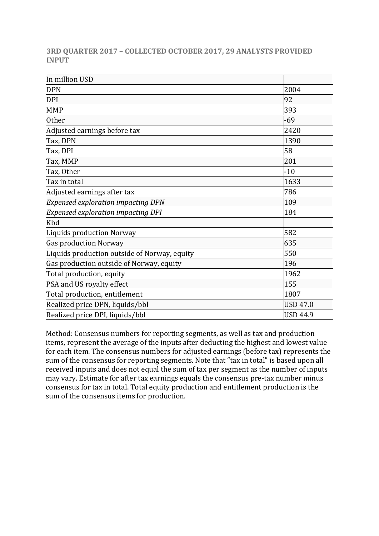**3RD QUARTER 2017 – COLLECTED OCTOBER 2017, 29 ANALYSTS PROVIDED INPUT**

| In million USD                               |                 |
|----------------------------------------------|-----------------|
| <b>DPN</b>                                   | 2004            |
| <b>DPI</b>                                   | 92              |
| <b>MMP</b>                                   | 393             |
| <b>Other</b>                                 | $-69$           |
| Adjusted earnings before tax                 | 2420            |
| Tax, DPN                                     | 1390            |
| Tax, DPI                                     | 58              |
| Tax, MMP                                     | 201             |
| Tax, Other                                   | $-10$           |
| Tax in total                                 | 1633            |
| Adjusted earnings after tax                  | 786             |
| <b>Expensed exploration impacting DPN</b>    | 109             |
| <b>Expensed exploration impacting DPI</b>    | 184             |
| Kbd                                          |                 |
| Liquids production Norway                    | 582             |
| <b>Gas production Norway</b>                 | 635             |
| Liquids production outside of Norway, equity | 550             |
| Gas production outside of Norway, equity     | 196             |
| Total production, equity                     | 1962            |
| PSA and US royalty effect                    | 155             |
| Total production, entitlement                | 1807            |
| Realized price DPN, liquids/bbl              | <b>USD 47.0</b> |
| Realized price DPI, liquids/bbl              | <b>USD 44.9</b> |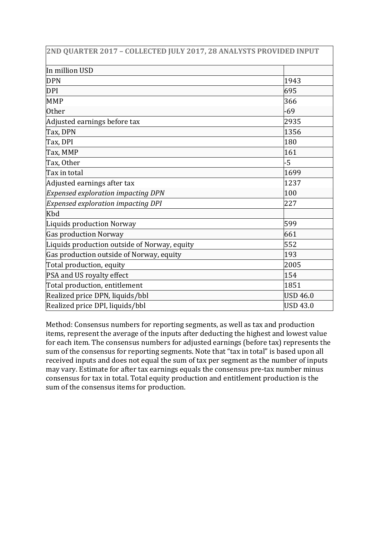| 2ND QUARTER 2017 - COLLECTED JULY 2017, 28 ANALYSTS PROVIDED INPUT |                 |
|--------------------------------------------------------------------|-----------------|
| In million USD                                                     |                 |
| <b>DPN</b>                                                         | 1943            |
| <b>DPI</b>                                                         | 695             |
| <b>MMP</b>                                                         | 366             |
| <b>Other</b>                                                       | $-69$           |
| Adjusted earnings before tax                                       | 2935            |
| Tax, DPN                                                           | 1356            |
| Tax, DPI                                                           | 180             |
| Tax, MMP                                                           | 161             |
| Tax, Other                                                         | $-5$            |
| Tax in total                                                       | 1699            |
| Adjusted earnings after tax                                        | 1237            |
| <b>Expensed exploration impacting DPN</b>                          | 100             |
| <b>Expensed exploration impacting DPI</b>                          | 227             |
| Kbd                                                                |                 |
| Liquids production Norway                                          | 599             |
| <b>Gas production Norway</b>                                       | 661             |
| Liquids production outside of Norway, equity                       | 552             |
| Gas production outside of Norway, equity                           | 193             |
| Total production, equity                                           | 2005            |
| PSA and US royalty effect                                          | 154             |
| Total production, entitlement                                      | 1851            |
| Realized price DPN, liquids/bbl                                    | <b>USD 46.0</b> |
| Realized price DPI, liquids/bbl                                    | <b>USD 43.0</b> |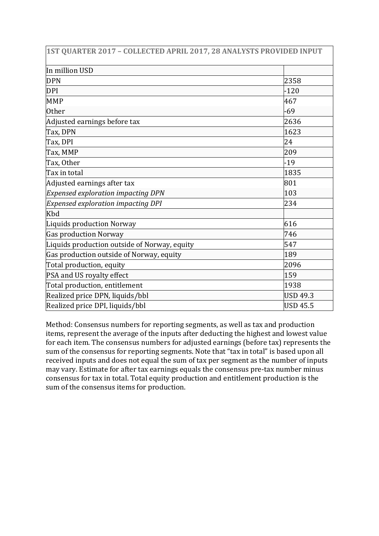| 1ST QUARTER 2017 - COLLECTED APRIL 2017, 28 ANALYSTS PROVIDED INPUT |                 |
|---------------------------------------------------------------------|-----------------|
| In million USD                                                      |                 |
| <b>DPN</b>                                                          | 2358            |
| <b>DPI</b>                                                          | $-120$          |
| <b>MMP</b>                                                          | 467             |
| <b>Other</b>                                                        | $-69$           |
| Adjusted earnings before tax                                        | 2636            |
| Tax, DPN                                                            | 1623            |
| Tax, DPI                                                            | 24              |
| Tax, MMP                                                            | 209             |
| Tax, Other                                                          | $-19$           |
| Tax in total                                                        | 1835            |
| Adjusted earnings after tax                                         | 801             |
| <b>Expensed exploration impacting DPN</b>                           | 103             |
| <b>Expensed exploration impacting DPI</b>                           | 234             |
| Kbd                                                                 |                 |
| Liquids production Norway                                           | 616             |
| <b>Gas production Norway</b>                                        | 746             |
| Liquids production outside of Norway, equity                        | 547             |
| Gas production outside of Norway, equity                            | 189             |
| Total production, equity                                            | 2096            |
| PSA and US royalty effect                                           | 159             |
| Total production, entitlement                                       | 1938            |
| Realized price DPN, liquids/bbl                                     | <b>USD 49.3</b> |
| Realized price DPI, liquids/bbl                                     | <b>USD 45.5</b> |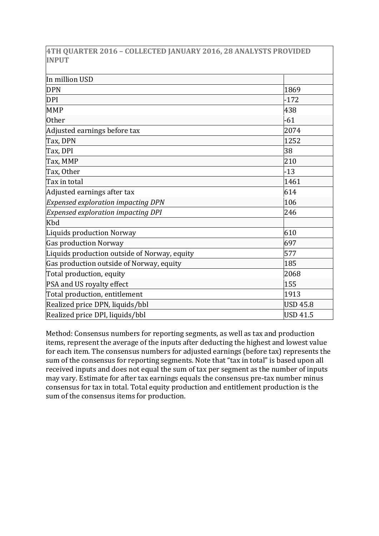|              |  | 4TH QUARTER 2016 - COLLECTED JANUARY 2016, 28 ANALYSTS PROVIDED |  |  |  |
|--------------|--|-----------------------------------------------------------------|--|--|--|
| <b>INPUT</b> |  |                                                                 |  |  |  |

| In million USD                               |                 |
|----------------------------------------------|-----------------|
| <b>DPN</b>                                   | 1869            |
| <b>DPI</b>                                   | $-172$          |
| <b>MMP</b>                                   | 438             |
| <b>Other</b>                                 | $-61$           |
| Adjusted earnings before tax                 | 2074            |
| Tax, DPN                                     | 1252            |
| Tax, DPI                                     | 38              |
| Tax, MMP                                     | 210             |
| Tax, Other                                   | $-13$           |
| Tax in total                                 | 1461            |
| Adjusted earnings after tax                  | 614             |
| <b>Expensed exploration impacting DPN</b>    | 106             |
| <b>Expensed exploration impacting DPI</b>    | 246             |
| Kbd                                          |                 |
| Liquids production Norway                    | 610             |
| <b>Gas production Norway</b>                 | 697             |
| Liquids production outside of Norway, equity | 577             |
| Gas production outside of Norway, equity     | 185             |
| Total production, equity                     | 2068            |
| PSA and US royalty effect                    | 155             |
| Total production, entitlement                | 1913            |
| Realized price DPN, liquids/bbl              | <b>USD 45.8</b> |
| Realized price DPI, liquids/bbl              | <b>USD 41.5</b> |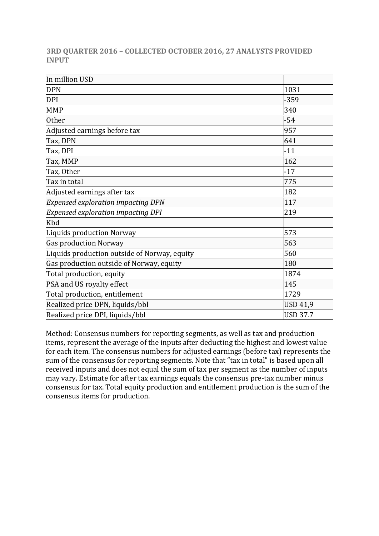**3RD QUARTER 2016 – COLLECTED OCTOBER 2016, 27 ANALYSTS PROVIDED INPUT**

| In million USD                               |                 |
|----------------------------------------------|-----------------|
| <b>DPN</b>                                   | 1031            |
| <b>DPI</b>                                   | $-359$          |
| <b>MMP</b>                                   | 340             |
| <b>Other</b>                                 | $-54$           |
| Adjusted earnings before tax                 | 957             |
| Tax, DPN                                     | 641             |
| Tax, DPI                                     | $-11$           |
| Tax, MMP                                     | 162             |
| Tax, Other                                   | $-17$           |
| Tax in total                                 | 775             |
| Adjusted earnings after tax                  | 182             |
| <b>Expensed exploration impacting DPN</b>    | 117             |
| <b>Expensed exploration impacting DPI</b>    | 219             |
| Kbd                                          |                 |
| <b>Liquids production Norway</b>             | 573             |
| Gas production Norway                        | 563             |
| Liquids production outside of Norway, equity | 560             |
| Gas production outside of Norway, equity     | 180             |
| Total production, equity                     | 1874            |
| PSA and US royalty effect                    | 145             |
| Total production, entitlement                | 1729            |
| Realized price DPN, liquids/bbl              | <b>USD 41,9</b> |
| Realized price DPI, liquids/bbl              | <b>USD 37.7</b> |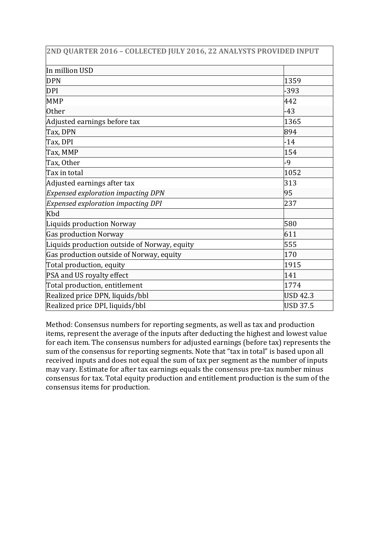| 2ND QUARTER 2016 - COLLECTED JULY 2016, 22 ANALYSTS PROVIDED INPUT |                 |
|--------------------------------------------------------------------|-----------------|
| In million USD                                                     |                 |
| <b>DPN</b>                                                         | 1359            |
| <b>DPI</b>                                                         | $-393$          |
| <b>MMP</b>                                                         | 442             |
| <b>Other</b>                                                       | $-43$           |
| Adjusted earnings before tax                                       | 1365            |
| Tax, DPN                                                           | 894             |
| Tax, DPI                                                           | $-14$           |
| Tax, MMP                                                           | 154             |
| Tax, Other                                                         | $-9$            |
| Tax in total                                                       | 1052            |
| Adjusted earnings after tax                                        | 313             |
| <b>Expensed exploration impacting DPN</b>                          | 95              |
| <b>Expensed exploration impacting DPI</b>                          | 237             |
| Kbd                                                                |                 |
| Liquids production Norway                                          | 580             |
| <b>Gas production Norway</b>                                       | 611             |
| Liquids production outside of Norway, equity                       | 555             |
| Gas production outside of Norway, equity                           | 170             |
| Total production, equity                                           | 1915            |
| PSA and US royalty effect                                          | 141             |
| Total production, entitlement                                      | 1774            |
| Realized price DPN, liquids/bbl                                    | <b>USD 42.3</b> |
| Realized price DPI, liquids/bbl                                    | <b>USD 37.5</b> |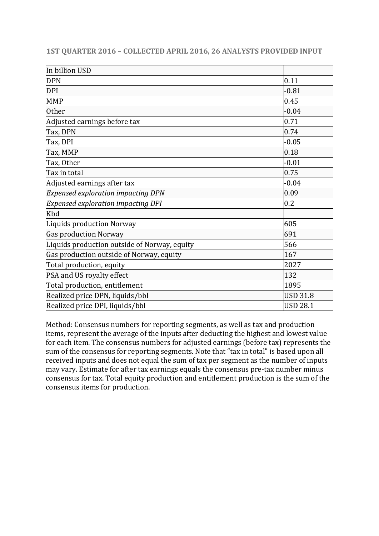| 1ST QUARTER 2016 - COLLECTED APRIL 2016, 26 ANALYSTS PROVIDED INPUT |                 |
|---------------------------------------------------------------------|-----------------|
| In billion USD                                                      |                 |
| <b>DPN</b>                                                          | 0.11            |
| <b>DPI</b>                                                          | $-0.81$         |
| <b>MMP</b>                                                          | 0.45            |
| <b>Other</b>                                                        | $-0.04$         |
| Adjusted earnings before tax                                        | 0.71            |
| Tax, DPN                                                            | 0.74            |
| Tax, DPI                                                            | $-0.05$         |
| Tax, MMP                                                            | 0.18            |
| Tax, Other                                                          | $-0.01$         |
| Tax in total                                                        | 0.75            |
| Adjusted earnings after tax                                         | $-0.04$         |
| <b>Expensed exploration impacting DPN</b>                           | 0.09            |
| <b>Expensed exploration impacting DPI</b>                           | 0.2             |
| Kbd                                                                 |                 |
| Liquids production Norway                                           | 605             |
| <b>Gas production Norway</b>                                        | 691             |
| Liquids production outside of Norway, equity                        | 566             |
| Gas production outside of Norway, equity                            | 167             |
| Total production, equity                                            | 2027            |
| PSA and US royalty effect                                           | 132             |
| Total production, entitlement                                       | 1895            |
| Realized price DPN, liquids/bbl                                     | <b>USD 31.8</b> |
| Realized price DPI, liquids/bbl                                     | <b>USD 28.1</b> |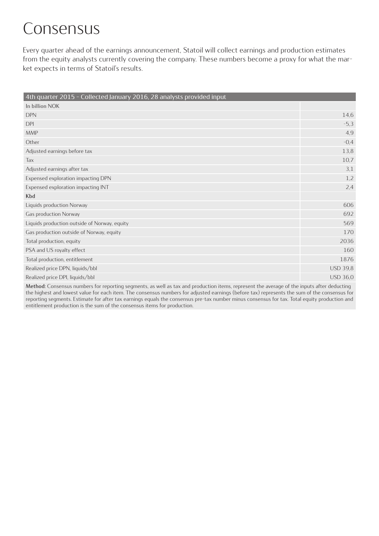# Consensus

Every quarter ahead of the earnings announcement, Statoil will collect earnings and production estimates from the equity analysts currently covering the company. These numbers become a proxy for what the market expects in terms of Statoil's results.

| 4th quarter 2015 - Collected January 2016, 28 analysts provided input |                 |
|-----------------------------------------------------------------------|-----------------|
| In billion NOK                                                        |                 |
| <b>DPN</b>                                                            | 14,6            |
| <b>DPI</b>                                                            | $-5,3$          |
| <b>MMP</b>                                                            | 4,9             |
| Other                                                                 | $-0,4$          |
| Adjusted earnings before tax                                          | 13,8            |
| Tax                                                                   | 10,7            |
| Adjusted earnings after tax                                           | 3,1             |
| Expensed exploration impacting DPN                                    | 1,2             |
| Expensed exploration impacting INT                                    | 2,4             |
| Kbd                                                                   |                 |
| Liquids production Norway                                             | 606             |
| Gas production Norway                                                 | 692             |
| Liquids production outside of Norway, equity                          | 569             |
| Gas production outside of Norway, equity                              | 170             |
| Total production, equity                                              | 2036            |
| PSA and US royalty effect                                             | 160             |
| Total production, entitlement                                         | 1876            |
| Realized price DPN, liquids/bbl                                       | <b>USD 39,8</b> |
| Realized price DPI, liquids/bbl                                       | <b>USD 36,0</b> |
|                                                                       |                 |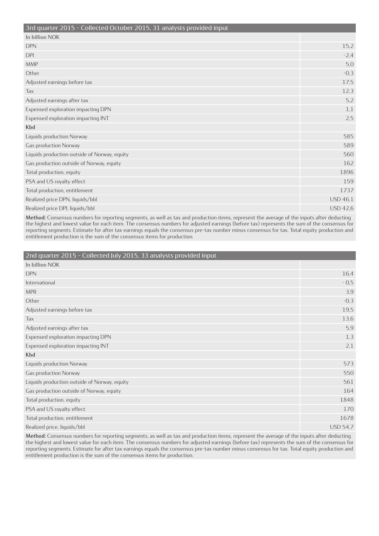| 15,2            |
|-----------------|
| $-2,4$          |
| 5,0             |
| $-0,3$          |
| 17,5            |
| 12,3            |
| 5,2             |
| 1,1             |
| 2,5             |
|                 |
| 585             |
| 589             |
| 560             |
| 162             |
| 1896            |
| 159             |
| 1737            |
| <b>USD 46,1</b> |
| <b>USD 42,6</b> |
|                 |

#### **2nd quarter 2015 – Collected July 2015, 33 analysts provided input**

| In billion NOK                               |                 |
|----------------------------------------------|-----------------|
| <b>DPN</b>                                   | 16,4            |
| International                                | $-0,5$          |
| <b>MPR</b>                                   | 3,9             |
| Other                                        | $-0,3$          |
| Adjusted earnings before tax                 | 19,5            |
| Tax                                          | 13,6            |
| Adjusted earnings after tax                  | 5,9             |
| Expensed exploration impacting DPN           | 1,3             |
| Expensed exploration impacting INT           | 2,1             |
| Kbd                                          |                 |
| Liquids production Norway                    | 573             |
| Gas production Norway                        | 550             |
| Liquids production outside of Norway, equity | 561             |
| Gas production outside of Norway, equity     | 164             |
| Total production, equity                     | 1848            |
| PSA and US royalty effect                    | 170             |
| Total production, entitlement                | 1678            |
| Realized price, liquids/bbl                  | <b>USD 54.7</b> |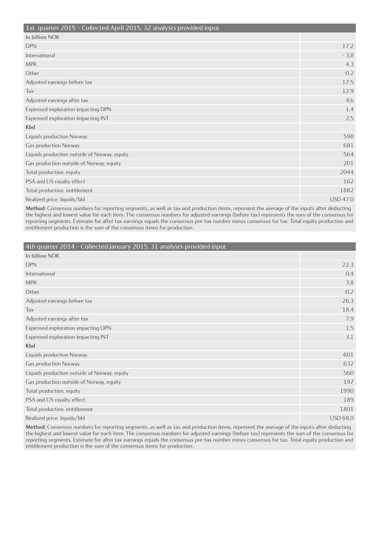|  | 1st quarter 2015 - Collected April 2015, 32 analysts provided input |  |  |  |
|--|---------------------------------------------------------------------|--|--|--|
|  |                                                                     |  |  |  |

| 150 gaartei 2015 - Concetta April 2015, 52 anarysts provided input |                 |
|--------------------------------------------------------------------|-----------------|
| In billion NOK                                                     |                 |
| <b>DPN</b>                                                         | 17,2            |
| International                                                      | $-3,8$          |
| <b>MPR</b>                                                         | 4,3             |
| Other                                                              | $-0,2$          |
| Adjusted earnings before tax                                       | 17,5            |
| Tax                                                                | 12,9            |
| Adjusted earnings after tax                                        | 4,6             |
| Expensed exploration impacting DPN                                 | 1,4             |
| Expensed exploration impacting INT                                 | 2,5             |
| Kbd                                                                |                 |
| Liquids production Norway                                          | 598             |
| Gas production Norway                                              | 681             |
| Liquids production outside of Norway, equity                       | 564             |
| Gas production outside of Norway, equity                           | 201             |
| Total production, equity                                           | 2044            |
| PSA and US royalty effect                                          | 162             |
| Total production, entitlement                                      | 1882            |
| Realized price, liquids/bbl                                        | <b>USD 47,0</b> |
|                                                                    |                 |

| 4th quarter 2014 - Collected January 2015, 31 analysts provided input |                 |
|-----------------------------------------------------------------------|-----------------|
| In billion NOK                                                        |                 |
| <b>DPN</b>                                                            | 22,3            |
| International                                                         | 0,4             |
| <b>MPR</b>                                                            | 3,8             |
| Other                                                                 | $-0,2$          |
| Adjusted earnings before tax                                          | 26,3            |
| Tax                                                                   | 18,4            |
| Adjusted earnings after tax                                           | 7,9             |
| Expensed exploration impacting DPN                                    | 1,5             |
| Expensed exploration impacting INT                                    | 3,1             |
| Kbd                                                                   |                 |
| Liquids production Norway                                             | 601             |
| Gas production Norway                                                 | 632             |
| Liquids production outside of Norway, equity                          | 560             |
| Gas production outside of Norway, equity                              | 197             |
| Total production, equity                                              | 1990            |
| PSA and US royalty effect                                             | 189             |
| Total production, entitlement                                         | 1801            |
| Realized price, liquids/bbl                                           | <b>USD 68,0</b> |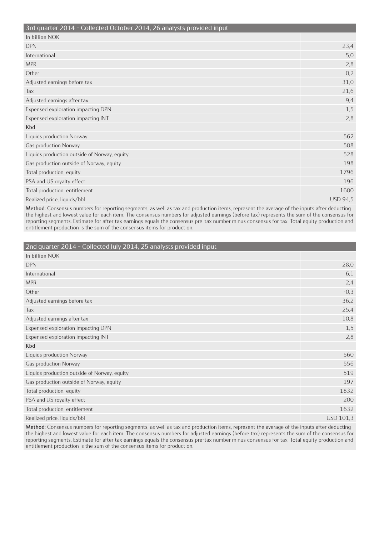| 3rd quarter 2014 - Collected October 2014, 26 analysts provided input |                 |
|-----------------------------------------------------------------------|-----------------|
| In billion NOK                                                        |                 |
| <b>DPN</b>                                                            | 23,4            |
| International                                                         | 5,0             |
| <b>MPR</b>                                                            | 2,8             |
| Other                                                                 | $-0,2$          |
| Adjusted earnings before tax                                          | 31,0            |
| Tax                                                                   | 21,6            |
| Adjusted earnings after tax                                           | 9,4             |
| Expensed exploration impacting DPN                                    | 1,5             |
| Expensed exploration impacting INT                                    | 2,8             |
| Kbd                                                                   |                 |
| Liquids production Norway                                             | 562             |
| Gas production Norway                                                 | 508             |
| Liquids production outside of Norway, equity                          | 528             |
| Gas production outside of Norway, equity                              | 198             |
| Total production, equity                                              | 1796            |
| PSA and US royalty effect                                             | 196             |
| Total production, entitlement                                         | 1600            |
| Realized price, liquids/bbl                                           | <b>USD 94,5</b> |

| 2nd quarter 2014 - Collected July 2014, 25 analysts provided input |                  |
|--------------------------------------------------------------------|------------------|
| In billion NOK                                                     |                  |
| <b>DPN</b>                                                         | 28,0             |
| International                                                      | 6,1              |
| <b>MPR</b>                                                         | 2,4              |
| Other                                                              | $-0,3$           |
| Adjusted earnings before tax                                       | 36,2             |
| Tax                                                                | 25,4             |
| Adjusted earnings after tax                                        | 10,8             |
| Expensed exploration impacting DPN                                 | 1,5              |
| Expensed exploration impacting INT                                 | 2,8              |
| Kbd                                                                |                  |
| Liquids production Norway                                          | 560              |
| Gas production Norway                                              | 556              |
| Liquids production outside of Norway, equity                       | 519              |
| Gas production outside of Norway, equity                           | 197              |
| Total production, equity                                           | 1832             |
| PSA and US royalty effect                                          | 200              |
| Total production, entitlement                                      | 1632             |
| Realized price, liquids/bbl                                        | <b>USD 101,3</b> |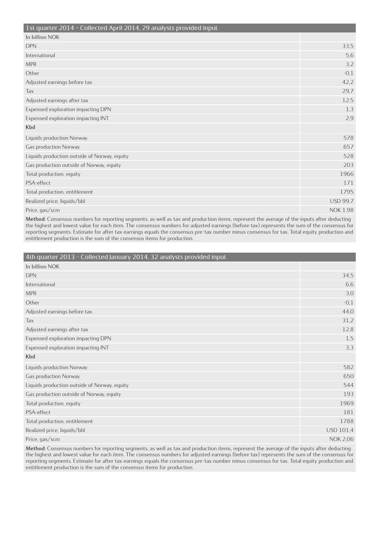| 1st quarter 2014 - Collected April 2014, 29 analysts provided input |                 |
|---------------------------------------------------------------------|-----------------|
| In billion NOK                                                      |                 |
| <b>DPN</b>                                                          | 33,5            |
| International                                                       | 5,6             |
| <b>MPR</b>                                                          | 3,2             |
| Other                                                               | $-0,1$          |
| Adjusted earnings before tax                                        | 42,2            |
| Tax                                                                 | 29,7            |
| Adjusted earnings after tax                                         | 12,5            |
| Expensed exploration impacting DPN                                  | 1,3             |
| Expensed exploration impacting INT                                  | 2,9             |
| Kbd                                                                 |                 |
| Liquids production Norway                                           | 578             |
| Gas production Norway                                               | 657             |
| Liquids production outside of Norway, equity                        | 528             |
| Gas production outside of Norway, equity                            | 203             |
| Total production, equity                                            | 1966            |
| PSA-effect                                                          | 171             |
| Total production, entitlement                                       | 1795            |
| Realized price, liquids/bbl                                         | <b>USD 99,7</b> |
| Price, gas/scm                                                      | <b>NOK 1,98</b> |

| 4th quarter 2013 - Collected January 2014, 32 analysts provided input |                  |
|-----------------------------------------------------------------------|------------------|
| In billion NOK                                                        |                  |
| <b>DPN</b>                                                            | 34,5             |
| International                                                         | 6,6              |
| <b>MPR</b>                                                            | 3,0              |
| Other                                                                 | $-0,1$           |
| Adjusted earnings before tax                                          | 44,0             |
| Tax                                                                   | 31,2             |
| Adjusted earnings after tax                                           | 12,8             |
| Expensed exploration impacting DPN                                    | 1,5              |
| Expensed exploration impacting INT                                    | 3,3              |
| Kbd                                                                   |                  |
| Liquids production Norway                                             | 582              |
| Gas production Norway                                                 | 650              |
| Liquids production outside of Norway, equity                          | 544              |
| Gas production outside of Norway, equity                              | 193              |
| Total production, equity                                              | 1969             |
| PSA-effect                                                            | 181              |
| Total production, entitlement                                         | 1788             |
| Realized price, liquids/bbl                                           | <b>USD 101,4</b> |
| Price, gas/scm                                                        | <b>NOK 2,06</b>  |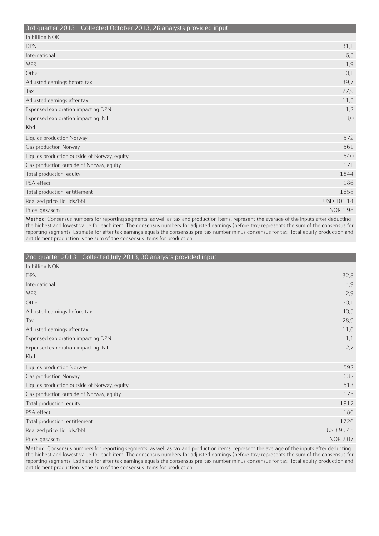| 3rd quarter 2013 - Collected October 2013, 28 analysts provided input |                 |
|-----------------------------------------------------------------------|-----------------|
| In billion NOK                                                        |                 |
| <b>DPN</b>                                                            | 31,1            |
| International                                                         | 6,8             |
| <b>MPR</b>                                                            | 1,9             |
| Other                                                                 | $-0,1$          |
| Adjusted earnings before tax                                          | 39.7            |
| Tax                                                                   | 27,9            |
| Adjusted earnings after tax                                           | 11,8            |
| Expensed exploration impacting DPN                                    | 1,2             |
| Expensed exploration impacting INT                                    | 3,0             |
| Kbd                                                                   |                 |
| Liquids production Norway                                             | 572             |
| Gas production Norway                                                 | 561             |
| Liquids production outside of Norway, equity                          | 540             |
| Gas production outside of Norway, equity                              | 171             |
| Total production, equity                                              | 1844            |
| PSA-effect                                                            | 186             |
| Total production, entitlement                                         | 1658            |
| Realized price, liquids/bbl                                           | USD 101,14      |
| Price, gas/scm                                                        | <b>NOK 1,98</b> |

| 2nd quarter 2013 - Collected July 2013, 30 analysts provided input |                  |
|--------------------------------------------------------------------|------------------|
| In billion NOK                                                     |                  |
| <b>DPN</b>                                                         | 32,8             |
| International                                                      | 4,9              |
| <b>MPR</b>                                                         | 2,9              |
| Other                                                              | $-0,1$           |
| Adjusted earnings before tax                                       | 40,5             |
| Tax                                                                | 28,9             |
| Adjusted earnings after tax                                        | 11,6             |
| Expensed exploration impacting DPN                                 | 1,1              |
| Expensed exploration impacting INT                                 | 2,7              |
| Kbd                                                                |                  |
| Liquids production Norway                                          | 592              |
| Gas production Norway                                              | 632              |
| Liquids production outside of Norway, equity                       | 513              |
| Gas production outside of Norway, equity                           | 175              |
| Total production, equity                                           | 1912             |
| PSA-effect                                                         | 186              |
| Total production, entitlement                                      | 1726             |
| Realized price, liquids/bbl                                        | <b>USD 95,45</b> |
| Price, gas/scm                                                     | <b>NOK 2,07</b>  |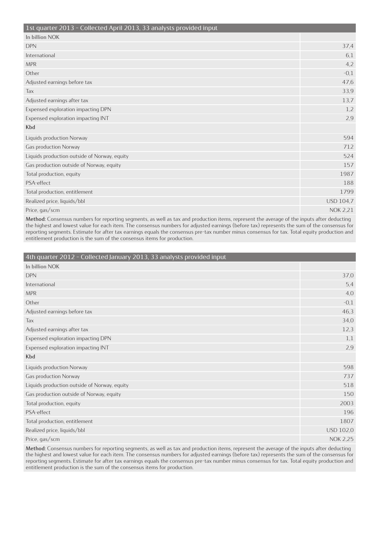| 1st quarter 2013 - Collected April 2013, 33 analysts provided input |                  |
|---------------------------------------------------------------------|------------------|
| In billion NOK                                                      |                  |
| <b>DPN</b>                                                          | 37,4             |
| International                                                       | 6,1              |
| <b>MPR</b>                                                          | 4,2              |
| Other                                                               | $-0,1$           |
| Adjusted earnings before tax                                        | 47,6             |
| Tax                                                                 | 33,9             |
| Adjusted earnings after tax                                         | 13,7             |
| Expensed exploration impacting DPN                                  | 1,2              |
| Expensed exploration impacting INT                                  | 2,9              |
| Kbd                                                                 |                  |
| Liquids production Norway                                           | 594              |
| Gas production Norway                                               | 712              |
| Liquids production outside of Norway, equity                        | 524              |
| Gas production outside of Norway, equity                            | 157              |
| Total production, equity                                            | 1987             |
| PSA-effect                                                          | 188              |
| Total production, entitlement                                       | 1799             |
| Realized price, liquids/bbl                                         | <b>USD 104,7</b> |
| Price, gas/scm                                                      | <b>NOK 2,21</b>  |

| 4th quarter 2012 - Collected January 2013, 33 analysts provided input |                 |
|-----------------------------------------------------------------------|-----------------|
| In billion NOK                                                        |                 |
| <b>DPN</b>                                                            | 37,0            |
| International                                                         | 5,4             |
| <b>MPR</b>                                                            | 4,0             |
| Other                                                                 | $-0,1$          |
| Adjusted earnings before tax                                          | 46,3            |
| Tax                                                                   | 34,0            |
| Adjusted earnings after tax                                           | 12,3            |
| Expensed exploration impacting DPN                                    | 1,1             |
| Expensed exploration impacting INT                                    | 2,9             |
| Kbd                                                                   |                 |
| Liquids production Norway                                             | 598             |
| Gas production Norway                                                 | 737             |
| Liquids production outside of Norway, equity                          | 518             |
| Gas production outside of Norway, equity                              | 150             |
| Total production, equity                                              | 2003            |
| PSA-effect                                                            | 196             |
| Total production, entitlement                                         | 1807            |
| Realized price, liquids/bbl                                           | USD 102,0       |
| Price, gas/scm                                                        | <b>NOK 2,25</b> |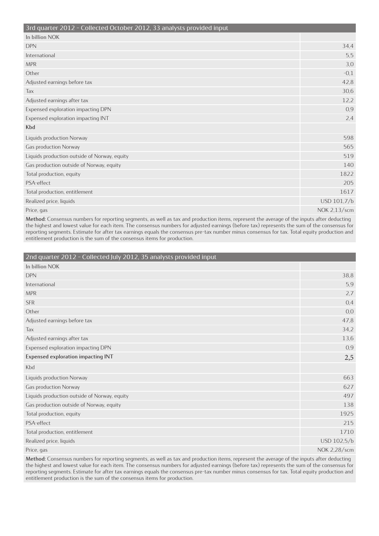| 3rd quarter 2012 - Collected October 2012, 33 analysts provided input |              |
|-----------------------------------------------------------------------|--------------|
| In billion NOK                                                        |              |
| <b>DPN</b>                                                            | 34,4         |
| International                                                         | 5,5          |
| <b>MPR</b>                                                            | 3,0          |
| Other                                                                 | $-0,1$       |
| Adjusted earnings before tax                                          | 42,8         |
| Tax                                                                   | 30,6         |
| Adjusted earnings after tax                                           | 12,2         |
| Expensed exploration impacting DPN                                    | 0,9          |
| Expensed exploration impacting INT                                    | 2,4          |
| Kbd                                                                   |              |
| Liquids production Norway                                             | 598          |
| Gas production Norway                                                 | 565          |
| Liquids production outside of Norway, equity                          | 519          |
| Gas production outside of Norway, equity                              | 140          |
| Total production, equity                                              | 1822         |
| PSA-effect                                                            | 205          |
| Total production, entitlement                                         | 1617         |
| Realized price, liquids                                               | USD 101,7/b  |
| Price, gas                                                            | NOK 2,13/scm |

| 2nd quarter 2012 - Collected July 2012, 35 analysts provided input |              |
|--------------------------------------------------------------------|--------------|
| In billion NOK                                                     |              |
| <b>DPN</b>                                                         | 38,8         |
| International                                                      | 5,9          |
| <b>MPR</b>                                                         | 2,7          |
| <b>SFR</b>                                                         | 0,4          |
| Other                                                              | 0,0          |
| Adjusted earnings before tax                                       | 47,8         |
| Tax                                                                | 34,2         |
| Adjusted earnings after tax                                        | 13,6         |
| Expensed exploration impacting DPN                                 | 0,9          |
| <b>Expensed exploration impacting INT</b>                          | 2,5          |
| Kbd                                                                |              |
| Liquids production Norway                                          | 663          |
| Gas production Norway                                              | 627          |
| Liquids production outside of Norway, equity                       | 497          |
| Gas production outside of Norway, equity                           | 138          |
| Total production, equity                                           | 1925         |
| PSA-effect                                                         | 215          |
| Total production, entitlement                                      | 1710         |
| Realized price, liquids                                            | USD 102,5/b  |
| Price, gas                                                         | NOK 2,28/scm |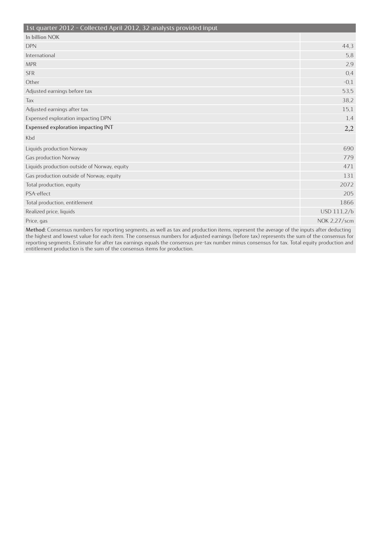| In billion NOK<br><b>DPN</b><br>44,3<br>International<br>5,8<br><b>MPR</b><br>2,9<br>0,4<br><b>SFR</b><br>$-0,1$<br>Other<br>Adjusted earnings before tax<br>53,5<br>38,2<br>Tax<br>Adjusted earnings after tax<br>15,1<br>Expensed exploration impacting DPN<br>1,4<br>Expensed exploration impacting INT<br>2,2<br>Kbd<br>690<br>Liquids production Norway<br>Gas production Norway<br>779<br>471<br>Liquids production outside of Norway, equity<br>131<br>Gas production outside of Norway, equity<br>2072<br>Total production, equity<br>PSA-effect<br>205<br>1866<br>Total production, entitlement<br>USD 111,2/b<br>Realized price, liquids<br>NOK 2,27/scm<br>Price, gas | 1st quarter 2012 - Collected April 2012, 32 analysts provided input |  |
|----------------------------------------------------------------------------------------------------------------------------------------------------------------------------------------------------------------------------------------------------------------------------------------------------------------------------------------------------------------------------------------------------------------------------------------------------------------------------------------------------------------------------------------------------------------------------------------------------------------------------------------------------------------------------------|---------------------------------------------------------------------|--|
|                                                                                                                                                                                                                                                                                                                                                                                                                                                                                                                                                                                                                                                                                  |                                                                     |  |
|                                                                                                                                                                                                                                                                                                                                                                                                                                                                                                                                                                                                                                                                                  |                                                                     |  |
|                                                                                                                                                                                                                                                                                                                                                                                                                                                                                                                                                                                                                                                                                  |                                                                     |  |
|                                                                                                                                                                                                                                                                                                                                                                                                                                                                                                                                                                                                                                                                                  |                                                                     |  |
|                                                                                                                                                                                                                                                                                                                                                                                                                                                                                                                                                                                                                                                                                  |                                                                     |  |
|                                                                                                                                                                                                                                                                                                                                                                                                                                                                                                                                                                                                                                                                                  |                                                                     |  |
|                                                                                                                                                                                                                                                                                                                                                                                                                                                                                                                                                                                                                                                                                  |                                                                     |  |
|                                                                                                                                                                                                                                                                                                                                                                                                                                                                                                                                                                                                                                                                                  |                                                                     |  |
|                                                                                                                                                                                                                                                                                                                                                                                                                                                                                                                                                                                                                                                                                  |                                                                     |  |
|                                                                                                                                                                                                                                                                                                                                                                                                                                                                                                                                                                                                                                                                                  |                                                                     |  |
|                                                                                                                                                                                                                                                                                                                                                                                                                                                                                                                                                                                                                                                                                  |                                                                     |  |
|                                                                                                                                                                                                                                                                                                                                                                                                                                                                                                                                                                                                                                                                                  |                                                                     |  |
|                                                                                                                                                                                                                                                                                                                                                                                                                                                                                                                                                                                                                                                                                  |                                                                     |  |
|                                                                                                                                                                                                                                                                                                                                                                                                                                                                                                                                                                                                                                                                                  |                                                                     |  |
|                                                                                                                                                                                                                                                                                                                                                                                                                                                                                                                                                                                                                                                                                  |                                                                     |  |
|                                                                                                                                                                                                                                                                                                                                                                                                                                                                                                                                                                                                                                                                                  |                                                                     |  |
|                                                                                                                                                                                                                                                                                                                                                                                                                                                                                                                                                                                                                                                                                  |                                                                     |  |
|                                                                                                                                                                                                                                                                                                                                                                                                                                                                                                                                                                                                                                                                                  |                                                                     |  |
|                                                                                                                                                                                                                                                                                                                                                                                                                                                                                                                                                                                                                                                                                  |                                                                     |  |
|                                                                                                                                                                                                                                                                                                                                                                                                                                                                                                                                                                                                                                                                                  |                                                                     |  |
|                                                                                                                                                                                                                                                                                                                                                                                                                                                                                                                                                                                                                                                                                  |                                                                     |  |